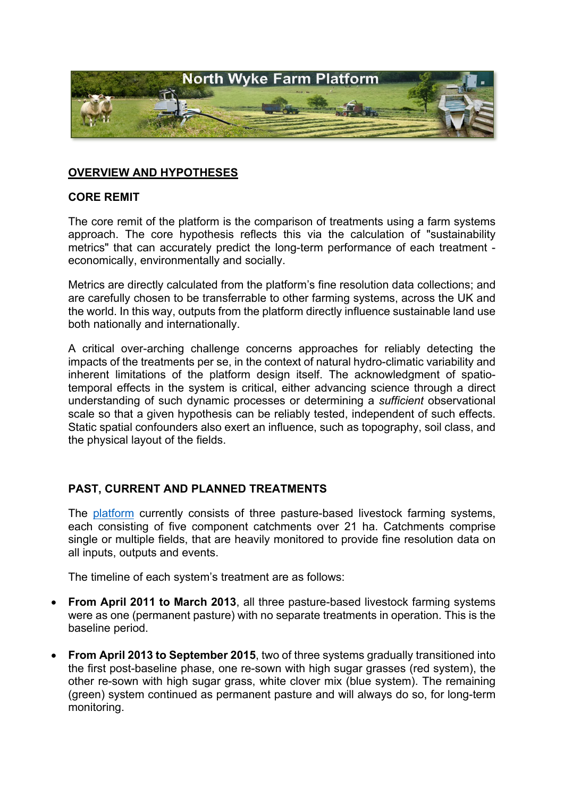

## **OVERVIEW AND HYPOTHESES**

#### **CORE REMIT**

The core remit of the platform is the comparison of treatments using a farm systems approach. The core hypothesis reflects this via the calculation of "sustainability metrics" that can accurately predict the long-term performance of each treatment economically, environmentally and socially.

Metrics are directly calculated from the platform's fine resolution data collections; and are carefully chosen to be transferrable to other farming systems, across the UK and the world. In this way, outputs from the platform directly influence sustainable land use both nationally and internationally.

A critical over-arching challenge concerns approaches for reliably detecting the impacts of the treatments per se, in the context of natural hydro-climatic variability and inherent limitations of the platform design itself. The acknowledgment of spatiotemporal effects in the system is critical, either advancing science through a direct understanding of such dynamic processes or determining a *sufficient* observational scale so that a given hypothesis can be reliably tested, independent of such effects. Static spatial confounders also exert an influence, such as topography, soil class, and the physical layout of the fields.

### **PAST, CURRENT AND PLANNED TREATMENTS**

The [platform](http://resources.rothamsted.ac.uk/farm-platform-national-capability/farm-platform-map) currently consists of three pasture-based livestock farming systems, each consisting of five component catchments over 21 ha. Catchments comprise single or multiple fields, that are heavily monitored to provide fine resolution data on all inputs, outputs and events.

The timeline of each system's treatment are as follows:

- **From April 2011 to March 2013**, all three pasture-based livestock farming systems were as one (permanent pasture) with no separate treatments in operation. This is the baseline period.
- **From April 2013 to September 2015**, two of three systems gradually transitioned into the first post-baseline phase, one re-sown with high sugar grasses (red system), the other re-sown with high sugar grass, white clover mix (blue system). The remaining (green) system continued as permanent pasture and will always do so, for long-term monitoring.